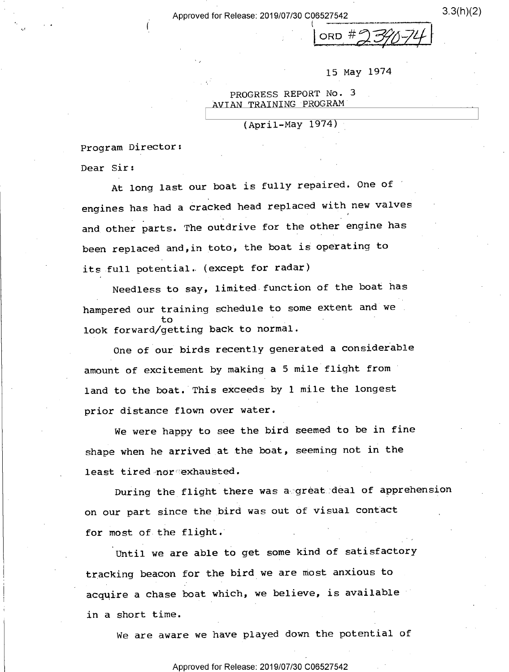Approved for Release: 2019/07/30 C06527542 3.3(h)(2)

, V n i r \_\_\_\_\_\_\_\_- \_ ..\_\_\_\_V \_ . -  $ORD #974172$ 

15 May 1974

PROGRESS REPORT No. 3 AVIAN TRAINING PROGRAM

 $(Apri1-May 1974)$ 

Program Director:

I

Dear Sir:

At long last our boat is fully repaired. One of ' engines has had a cracked head replaced with new valves and other parts. The outdrive for the other engine has been replaced and,in toto; the boat is operating to its full potential, (except for radar)

Needless to say, limited function of the boat has hampered our training schedule to some extent and we to ' look forward/getting back to normal.

One of our birds recently generated a considerable amount of excitement by making a 5 mile flight from land to the boat. This exceeds by 1 mile the longest prior distance flown over water.

We were happy to see the bird seemed to be in fine shape when he arrived at the boat, seeming not in the least tired nor exhausted.

During the flight there was a great deal of apprehension on our part since the bird was out of visual contact for most of the flight.

Until we are able to get some kind of satisfactory tracking beacon for the bird we are most anxious to acquire a chase boat which, we believe, is available in a short time.

we are aware we have played down the potential of

Approved for Release: 2019/07/30 C06527542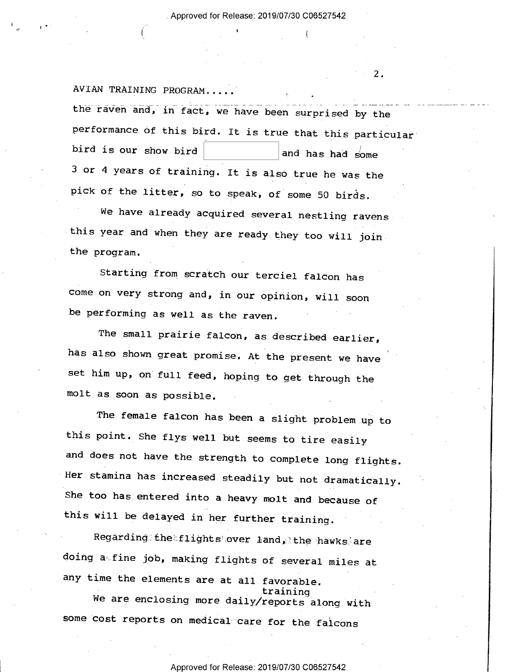$2.$ 

. »

|

)

(G <sup>I</sup>

AVIAN TRAINING PROGRAM.. the raven and, in fact, we have been surprised by the performance of this bird. It is true that this particular bird is our show bird  $\vert$  and has had some <sup>3</sup>or 4 years of training. It is also true he was the pick of the litter, so to speak, of some 50 birds.

We have already acquired several nestling ravens this year and when they are ready they too will jointhe program.

Starting from scratch our terciel falcon has come on very strong and, in our opinion, will soon be performing as well as the raven.

The small prairie falcon, as described earlier, has also shown great promise. At the present we have set him up, on full feed, hoping to get through the molt as soon as possible.

The female falcon has been a slight problem up to this point. She flys well but seems to tire easily and does not have the strength to complete long flights. Her stamina has increased steadily but not dramatically. She too has entered into a heavy molt and because of this will be delayed in her further training.

Regarding;thetflights over land, the hawks are doing a fine job, making flights of several miles at any time the elements are at all favorable.<br>training

We are enclosing more daily/reports along with some cost reports on medical care for the falcons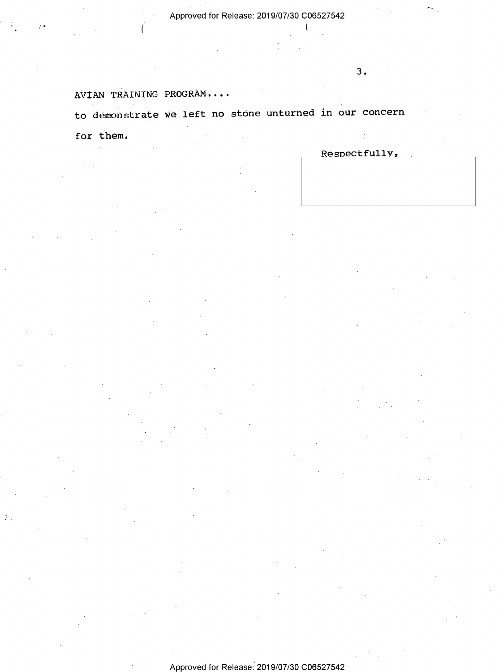€

## AVIAN TRAINING PROGRAM....

١.

to demonstrate we left no stone unturned in our concern

for them.

'

Respectfully,

3.

 $\tilde{\phantom{a}}$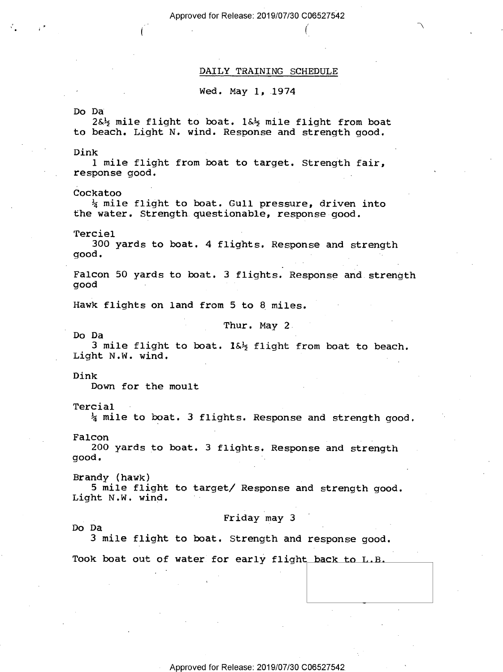Approved for Release: 2019/07/30 C06527542

#### DAILY TRAINING SCHEDULE

 $(1)$  MeV  $(1)$ 

Wed. May 1, 1974

.

Do Da <sup>V</sup> 2&% mile flight to boat. 1&5 mile flight from boat to beach. Light N. wind. Response and strength good.

Dink<br> die 19de eeu n.C. Soos van die 19de eeu n.C. Soos van die 19de eeu n.C. Soos van die 19de eeu n.C. Soos van d 1 mile flight from boat to target. Strength fair, response good.

Cockatoo<br> $\frac{1}{2}$  mile flight to boat. Gull pressure, driven into the water. Strength questionable, response good.

Terciel in the contract of the contract of the contract of the contract of the contract of the contract of the

300 yards to boat. 4 flights. Response and strength<br>good. ~

Falcon 50 yards to boat. 3 flights. Response and strength good

Hawk flights on land from 5 to 8 miles.

Thur. May 2.

Do Da - <sup>3</sup>mile flight to boat. 1&% flight from boat to beach. Light N.W. wind. .

Dink

Down for the moult

(»

Tercial

 $\frac{1}{4}$  mile to boat. 3 flights. Response and strength good.

Falcon \_ \_ .

200 yards to boat. 3 flights. Response and strength<br>good.

 $Brandy$  (hawk) 5 mile flight to target/ Response and strength good.<br>Light N.W. wind.

# Do Da<br>The Secret Secret Secret Secret Secret Secret Secret Secret Secret Secret Secret Secret Secret Secret Secret Secret Secret Secret Secret Secret Secret Secret Secret Secret Secret Secret Secret Secret Secret Secret Se

Do Da <sup>A</sup>

3 mile flight to boat. Strength and response good.

Took boat out of water for early flight back to L.B.

Approved for Release: 2019/07/30 C06527542,